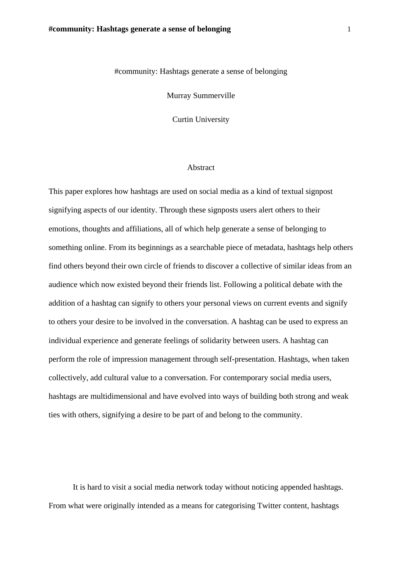## #community: Hashtags generate a sense of belonging

Murray Summerville

Curtin University

## Abstract

This paper explores how hashtags are used on social media as a kind of textual signpost signifying aspects of our identity. Through these signposts users alert others to their emotions, thoughts and affiliations, all of which help generate a sense of belonging to something online. From its beginnings as a searchable piece of metadata, hashtags help others find others beyond their own circle of friends to discover a collective of similar ideas from an audience which now existed beyond their friends list. Following a political debate with the addition of a hashtag can signify to others your personal views on current events and signify to others your desire to be involved in the conversation. A hashtag can be used to express an individual experience and generate feelings of solidarity between users. A hashtag can perform the role of impression management through self-presentation. Hashtags, when taken collectively, add cultural value to a conversation. For contemporary social media users, hashtags are multidimensional and have evolved into ways of building both strong and weak ties with others, signifying a desire to be part of and belong to the community.

It is hard to visit a social media network today without noticing appended hashtags. From what were originally intended as a means for categorising Twitter content, hashtags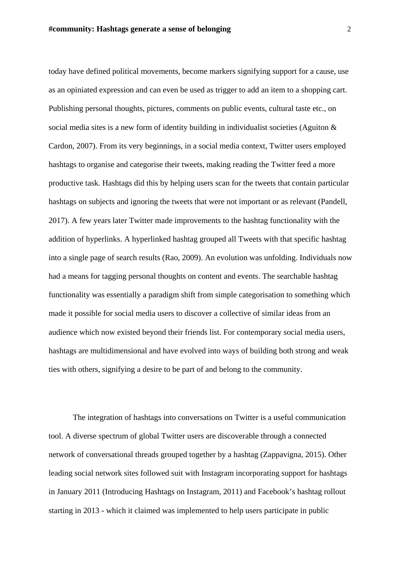today have defined political movements, become markers signifying support for a cause, use as an opiniated expression and can even be used as trigger to add an item to a shopping cart. Publishing personal thoughts, pictures, comments on public events, cultural taste etc., on social media sites is a new form of identity building in individualist societies (Aguiton & Cardon, 2007). From its very beginnings, in a social media context, Twitter users employed hashtags to organise and categorise their tweets, making reading the Twitter feed a more productive task. Hashtags did this by helping users scan for the tweets that contain particular hashtags on subjects and ignoring the tweets that were not important or as relevant (Pandell, 2017). A few years later Twitter made improvements to the hashtag functionality with the addition of hyperlinks. A hyperlinked hashtag grouped all Tweets with that specific hashtag into a single page of search results (Rao, 2009). An evolution was unfolding. Individuals now had a means for tagging personal thoughts on content and events. The searchable hashtag functionality was essentially a paradigm shift from simple categorisation to something which made it possible for social media users to discover a collective of similar ideas from an audience which now existed beyond their friends list. For contemporary social media users, hashtags are multidimensional and have evolved into ways of building both strong and weak ties with others, signifying a desire to be part of and belong to the community.

The integration of hashtags into conversations on Twitter is a useful communication tool. A diverse spectrum of global Twitter users are discoverable through a connected network of conversational threads grouped together by a hashtag (Zappavigna, 2015). Other leading social network sites followed suit with Instagram incorporating support for hashtags in January 2011 (Introducing Hashtags on Instagram, 2011) and Facebook's hashtag rollout starting in 2013 - which it claimed was implemented to help users participate in public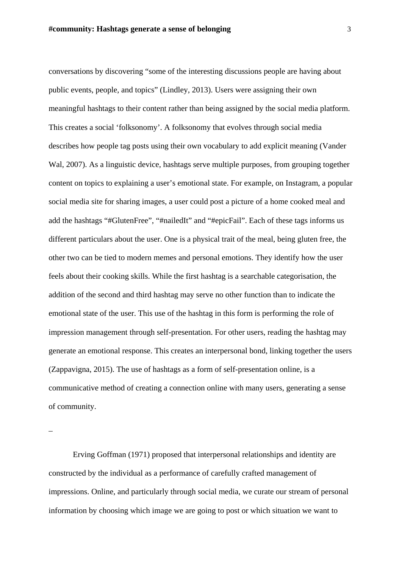conversations by discovering "some of the interesting discussions people are having about public events, people, and topics" (Lindley, 2013). Users were assigning their own meaningful hashtags to their content rather than being assigned by the social media platform. This creates a social 'folksonomy'. A folksonomy that evolves through social media describes how people tag posts using their own vocabulary to add explicit meaning (Vander Wal, 2007). As a linguistic device, hashtags serve multiple purposes, from grouping together content on topics to explaining a user's emotional state. For example, on Instagram, a popular social media site for sharing images, a user could post a picture of a home cooked meal and add the hashtags "#GlutenFree", "#nailedIt" and "#epicFail". Each of these tags informs us different particulars about the user. One is a physical trait of the meal, being gluten free, the other two can be tied to modern memes and personal emotions. They identify how the user feels about their cooking skills. While the first hashtag is a searchable categorisation, the addition of the second and third hashtag may serve no other function than to indicate the emotional state of the user. This use of the hashtag in this form is performing the role of impression management through self-presentation. For other users, reading the hashtag may generate an emotional response. This creates an interpersonal bond, linking together the users (Zappavigna, 2015). The use of hashtags as a form of self-presentation online, is a communicative method of creating a connection online with many users, generating a sense of community.

–

Erving Goffman (1971) proposed that interpersonal relationships and identity are constructed by the individual as a performance of carefully crafted management of impressions. Online, and particularly through social media, we curate our stream of personal information by choosing which image we are going to post or which situation we want to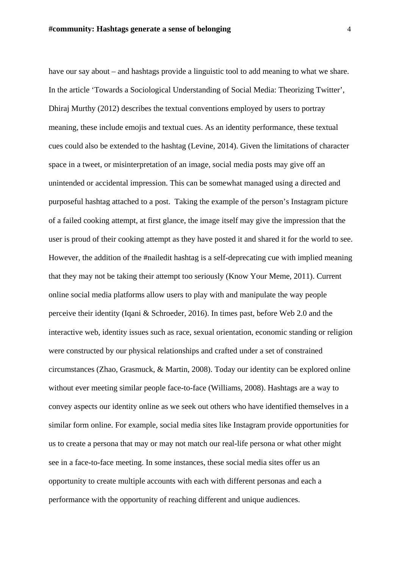have our say about – and hashtags provide a linguistic tool to add meaning to what we share. In the article 'Towards a Sociological Understanding of Social Media: Theorizing Twitter', Dhiraj Murthy (2012) describes the textual conventions employed by users to portray meaning, these include emojis and textual cues. As an identity performance, these textual cues could also be extended to the hashtag (Levine, 2014). Given the limitations of character space in a tweet, or misinterpretation of an image, social media posts may give off an unintended or accidental impression. This can be somewhat managed using a directed and purposeful hashtag attached to a post. Taking the example of the person's Instagram picture of a failed cooking attempt, at first glance, the image itself may give the impression that the user is proud of their cooking attempt as they have posted it and shared it for the world to see. However, the addition of the #nailedit hashtag is a self-deprecating cue with implied meaning that they may not be taking their attempt too seriously (Know Your Meme, 2011). Current online social media platforms allow users to play with and manipulate the way people perceive their identity (Iqani & Schroeder, 2016). In times past, before Web 2.0 and the interactive web, identity issues such as race, sexual orientation, economic standing or religion were constructed by our physical relationships and crafted under a set of constrained circumstances (Zhao, Grasmuck, & Martin, 2008). Today our identity can be explored online without ever meeting similar people face-to-face (Williams, 2008). Hashtags are a way to convey aspects our identity online as we seek out others who have identified themselves in a similar form online. For example, social media sites like Instagram provide opportunities for us to create a persona that may or may not match our real-life persona or what other might see in a face-to-face meeting. In some instances, these social media sites offer us an opportunity to create multiple accounts with each with different personas and each a performance with the opportunity of reaching different and unique audiences.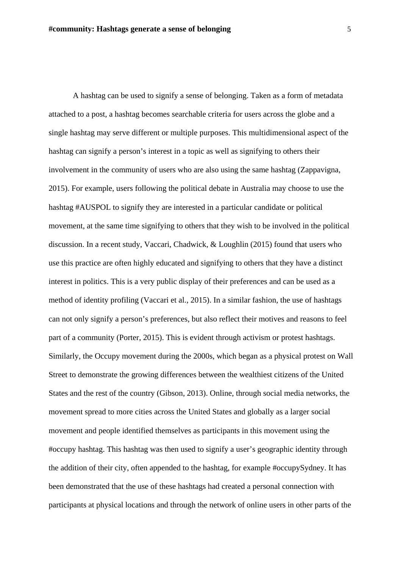A hashtag can be used to signify a sense of belonging. Taken as a form of metadata attached to a post, a hashtag becomes searchable criteria for users across the globe and a single hashtag may serve different or multiple purposes. This multidimensional aspect of the hashtag can signify a person's interest in a topic as well as signifying to others their involvement in the community of users who are also using the same hashtag (Zappavigna, 2015). For example, users following the political debate in Australia may choose to use the hashtag #AUSPOL to signify they are interested in a particular candidate or political movement, at the same time signifying to others that they wish to be involved in the political discussion. In a recent study, Vaccari, Chadwick, & Loughlin (2015) found that users who use this practice are often highly educated and signifying to others that they have a distinct interest in politics. This is a very public display of their preferences and can be used as a method of identity profiling (Vaccari et al., 2015). In a similar fashion, the use of hashtags can not only signify a person's preferences, but also reflect their motives and reasons to feel part of a community (Porter, 2015). This is evident through activism or protest hashtags. Similarly, the Occupy movement during the 2000s, which began as a physical protest on Wall Street to demonstrate the growing differences between the wealthiest citizens of the United States and the rest of the country (Gibson, 2013). Online, through social media networks, the movement spread to more cities across the United States and globally as a larger social movement and people identified themselves as participants in this movement using the #occupy hashtag. This hashtag was then used to signify a user's geographic identity through the addition of their city, often appended to the hashtag, for example #occupySydney. It has been demonstrated that the use of these hashtags had created a personal connection with participants at physical locations and through the network of online users in other parts of the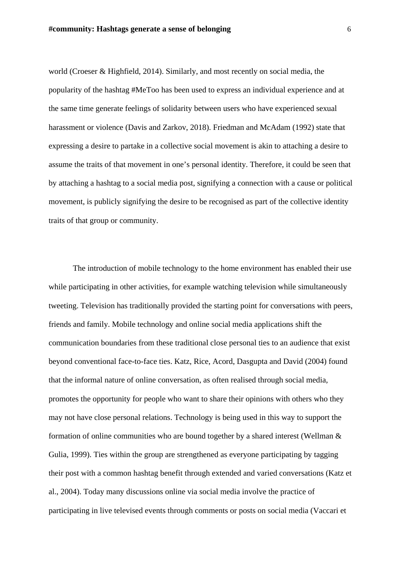world (Croeser & Highfield, 2014). Similarly, and most recently on social media, the popularity of the hashtag #MeToo has been used to express an individual experience and at the same time generate feelings of solidarity between users who have experienced sexual harassment or violence (Davis and Zarkov, 2018). Friedman and McAdam (1992) state that expressing a desire to partake in a collective social movement is akin to attaching a desire to assume the traits of that movement in one's personal identity. Therefore, it could be seen that by attaching a hashtag to a social media post, signifying a connection with a cause or political movement, is publicly signifying the desire to be recognised as part of the collective identity traits of that group or community.

The introduction of mobile technology to the home environment has enabled their use while participating in other activities, for example watching television while simultaneously tweeting. Television has traditionally provided the starting point for conversations with peers, friends and family. Mobile technology and online social media applications shift the communication boundaries from these traditional close personal ties to an audience that exist beyond conventional face-to-face ties. Katz, Rice, Acord, Dasgupta and David (2004) found that the informal nature of online conversation, as often realised through social media, promotes the opportunity for people who want to share their opinions with others who they may not have close personal relations. Technology is being used in this way to support the formation of online communities who are bound together by a shared interest (Wellman & Gulia, 1999). Ties within the group are strengthened as everyone participating by tagging their post with a common hashtag benefit through extended and varied conversations (Katz et al., 2004). Today many discussions online via social media involve the practice of participating in live televised events through comments or posts on social media (Vaccari et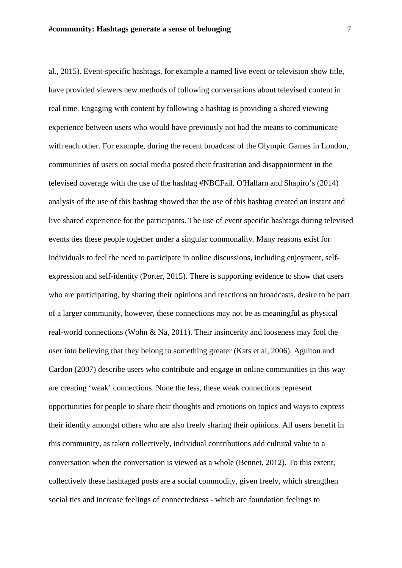al., 2015). Event-specific hashtags, for example a named live event or television show title, have provided viewers new methods of following conversations about televised content in real time. Engaging with content by following a hashtag is providing a shared viewing experience between users who would have previously not had the means to communicate with each other. For example, during the recent broadcast of the Olympic Games in London, communities of users on social media posted their frustration and disappointment in the televised coverage with the use of the hashtag #NBCFail. O'Hallarn and Shapiro's (2014) analysis of the use of this hashtag showed that the use of this hashtag created an instant and live shared experience for the participants. The use of event specific hashtags during televised events ties these people together under a singular commonality. Many reasons exist for individuals to feel the need to participate in online discussions, including enjoyment, selfexpression and self-identity (Porter, 2015). There is supporting evidence to show that users who are participating, by sharing their opinions and reactions on broadcasts, desire to be part of a larger community, however, these connections may not be as meaningful as physical real-world connections (Wohn & Na, 2011). Their insincerity and looseness may fool the user into believing that they belong to something greater (Kats et al, 2006). Aguiton and Cardon (2007) describe users who contribute and engage in online communities in this way are creating 'weak' connections. None the less, these weak connections represent opportunities for people to share their thoughts and emotions on topics and ways to express their identity amongst others who are also freely sharing their opinions. All users benefit in this community, as taken collectively, individual contributions add cultural value to a conversation when the conversation is viewed as a whole (Bennet, 2012). To this extent, collectively these hashtaged posts are a social commodity, given freely, which strengthen social ties and increase feelings of connectedness - which are foundation feelings to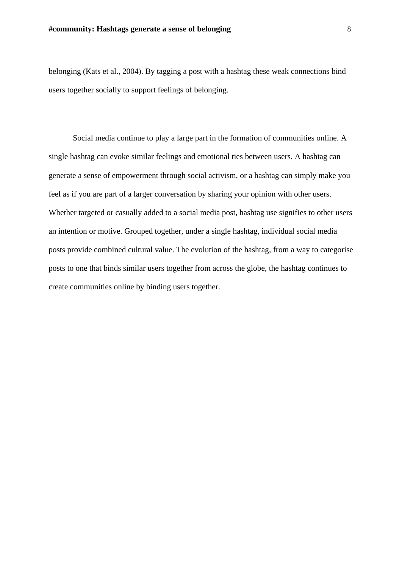belonging (Kats et al., 2004). By tagging a post with a hashtag these weak connections bind users together socially to support feelings of belonging.

Social media continue to play a large part in the formation of communities online. A single hashtag can evoke similar feelings and emotional ties between users. A hashtag can generate a sense of empowerment through social activism, or a hashtag can simply make you feel as if you are part of a larger conversation by sharing your opinion with other users. Whether targeted or casually added to a social media post, hashtag use signifies to other users an intention or motive. Grouped together, under a single hashtag, individual social media posts provide combined cultural value. The evolution of the hashtag, from a way to categorise posts to one that binds similar users together from across the globe, the hashtag continues to create communities online by binding users together.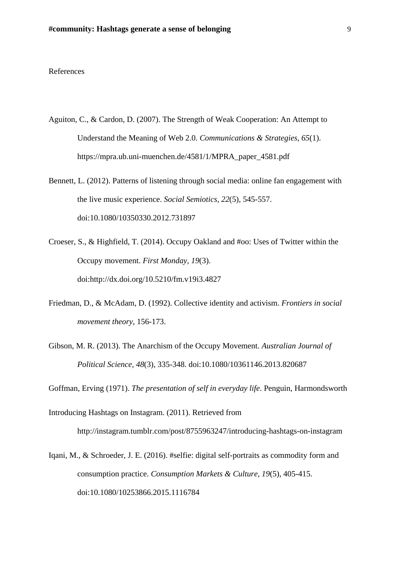## References

- Aguiton, C., & Cardon, D. (2007). The Strength of Weak Cooperation: An Attempt to Understand the Meaning of Web 2.0. *Communications & Strategies*, *65*(1). https://mpra.ub.uni-muenchen.de/4581/1/MPRA\_paper\_4581.pdf
- Bennett, L. (2012). Patterns of listening through social media: online fan engagement with the live music experience. *Social Semiotics, 22*(5), 545-557. doi:10.1080/10350330.2012.731897
- Croeser, S., & Highfield, T. (2014). Occupy Oakland and #oo: Uses of Twitter within the Occupy movement. *First Monday, 19*(3). doi:http://dx.doi.org/10.5210/fm.v19i3.4827
- Friedman, D., & McAdam, D. (1992). Collective identity and activism. *Frontiers in social movement theory*, 156-173.
- Gibson, M. R. (2013). The Anarchism of the Occupy Movement. *Australian Journal of Political Science, 48*(3), 335-348. doi:10.1080/10361146.2013.820687

Goffman, Erving (1971). *The presentation of self in everyday life*. Penguin, Harmondsworth

- Introducing Hashtags on Instagram. (2011). Retrieved from http://instagram.tumblr.com/post/8755963247/introducing-hashtags-on-instagram
- Iqani, M., & Schroeder, J. E. (2016). #selfie: digital self-portraits as commodity form and consumption practice. *Consumption Markets & Culture, 19*(5), 405-415. doi:10.1080/10253866.2015.1116784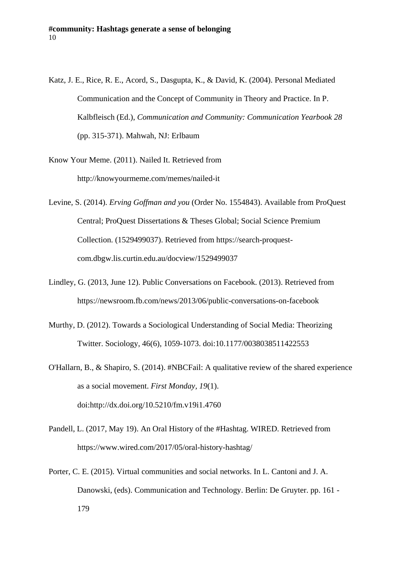- Katz, J. E., Rice, R. E., Acord, S., Dasgupta, K., & David, K. (2004). Personal Mediated Communication and the Concept of Community in Theory and Practice. In P. Kalbfleisch (Ed.), *Communication and Community: Communication Yearbook 28* (pp. 315-371). Mahwah, NJ: Erlbaum
- Know Your Meme. (2011). Nailed It. Retrieved from http://knowyourmeme.com/memes/nailed-it
- Levine, S. (2014). *Erving Goffman and you* (Order No. 1554843). Available from ProQuest Central; ProQuest Dissertations & Theses Global; Social Science Premium Collection. (1529499037). Retrieved from https://search-proquestcom.dbgw.lis.curtin.edu.au/docview/1529499037
- Lindley, G. (2013, June 12). Public Conversations on Facebook. (2013). Retrieved from https://newsroom.fb.com/news/2013/06/public-conversations-on-facebook
- Murthy, D. (2012). Towards a Sociological Understanding of Social Media: Theorizing Twitter. Sociology, 46(6), 1059-1073. doi:10.1177/0038038511422553
- O'Hallarn, B., & Shapiro, S. (2014). #NBCFail: A qualitative review of the shared experience as a social movement. *First Monday, 19*(1). doi:http://dx.doi.org/10.5210/fm.v19i1.4760
- Pandell, L. (2017, May 19). An Oral History of the #Hashtag. WIRED. Retrieved from https://www.wired.com/2017/05/oral-history-hashtag/
- Porter, C. E. (2015). Virtual communities and social networks. In L. Cantoni and J. A. Danowski, (eds). Communication and Technology. Berlin: De Gruyter. pp. 161 - 179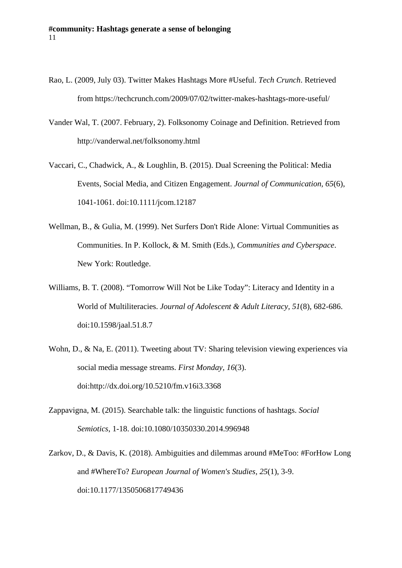- Rao, L. (2009, July 03). Twitter Makes Hashtags More #Useful. *Tech Crunch*. Retrieved from https://techcrunch.com/2009/07/02/twitter-makes-hashtags-more-useful/
- Vander Wal, T. (2007. February, 2). Folksonomy Coinage and Definition. Retrieved from http://vanderwal.net/folksonomy.html
- Vaccari, C., Chadwick, A., & Loughlin, B. (2015). Dual Screening the Political: Media Events, Social Media, and Citizen Engagement. *Journal of Communication, 65*(6), 1041-1061. doi:10.1111/jcom.12187
- Wellman, B., & Gulia, M. (1999). Net Surfers Don't Ride Alone: Virtual Communities as Communities. In P. Kollock, & M. Smith (Eds.), *Communities and Cyberspace*. New York: Routledge.
- Williams, B. T. (2008). "Tomorrow Will Not be Like Today": Literacy and Identity in a World of Multiliteracies. *Journal of Adolescent & Adult Literacy, 51*(8), 682-686. doi:10.1598/jaal.51.8.7
- Wohn, D., & Na, E. (2011). Tweeting about TV: Sharing television viewing experiences via social media message streams. *First Monday, 16*(3). doi:http://dx.doi.org/10.5210/fm.v16i3.3368
- Zappavigna, M. (2015). Searchable talk: the linguistic functions of hashtags. *Social Semiotics*, 1-18. doi:10.1080/10350330.2014.996948
- Zarkov, D., & Davis, K. (2018). Ambiguities and dilemmas around #MeToo: #ForHow Long and #WhereTo? *European Journal of Women's Studies, 25*(1), 3-9. doi:10.1177/1350506817749436